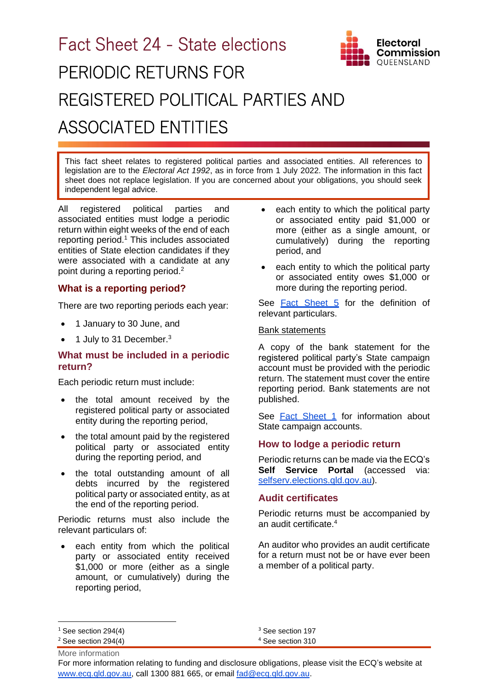# Fact Sheet 24 - State elections PERIODIC RETURNS FOR REGISTERED POLITICAL PARTIES AND ASSOCIATED ENTITIES

This fact sheet relates to registered political parties and associated entities. All references to legislation are to the *Electoral Act 1992*, as in force from 1 July 2022. The information in this fact sheet does not replace legislation. If you are concerned about your obligations, you should seek independent legal advice.

All registered political parties and associated entities must lodge a periodic return within eight weeks of the end of each reporting period.<sup>1</sup> This includes associated entities of State election candidates if they were associated with a candidate at any point during a reporting period.<sup>2</sup>

### **What is a reporting period?**

There are two reporting periods each year:

- 1 January to 30 June, and
- $\bullet$  1 July to 31 December.<sup>3</sup>

### **What must be included in a periodic return?**

Each periodic return must include:

- the total amount received by the registered political party or associated entity during the reporting period,
- the total amount paid by the registered political party or associated entity during the reporting period, and
- the total outstanding amount of all debts incurred by the registered political party or associated entity, as at the end of the reporting period.

Periodic returns must also include the relevant particulars of:

each entity from which the political party or associated entity received \$1,000 or more (either as a single amount, or cumulatively) during the reporting period,

each entity to which the political party or associated entity paid \$1,000 or more (either as a single amount, or cumulatively) during the reporting period, and

**Electoral** Commission OUEENSLAND

each entity to which the political party or associated entity owes \$1,000 or more during the reporting period.

See [Fact Sheet 5](https://www.ecq.qld.gov.au/election-participants/handbooks,-fact-sheets-and-forms) for the definition of relevant particulars.

#### Bank statements

A copy of the bank statement for the registered political party's State campaign account must be provided with the periodic return. The statement must cover the entire reporting period. Bank statements are not published.

See **[Fact Sheet 1](https://www.ecq.qld.gov.au/election-participants/handbooks,-fact-sheets-and-forms)** for information about State campaign accounts.

#### **How to lodge a periodic return**

Periodic returns can be made via the ECQ's **Self Service Portal** (accessed via: [selfserv.elections.qld.gov.au\)](https://selfserv.elections.qld.gov.au/).

#### **Audit certificates**

Periodic returns must be accompanied by an audit certificate.<sup>4</sup>

An auditor who provides an audit certificate for a return must not be or have ever been a member of a political party.

<sup>4</sup> See section 310

For more information relating to funding and disclosure obligations, please visit the ECQ's website at [www.ecq.qld.gov.au,](http://www.ecq.qld.gov.au/) call 1300 881 665, or email [fad@ecq.qld.gov.au.](mailto:fad@ecq.qld.gov.au)

 $1$  See section 294(4)

More information  $2$  See section 294(4)

<sup>&</sup>lt;sup>3</sup> See section 197